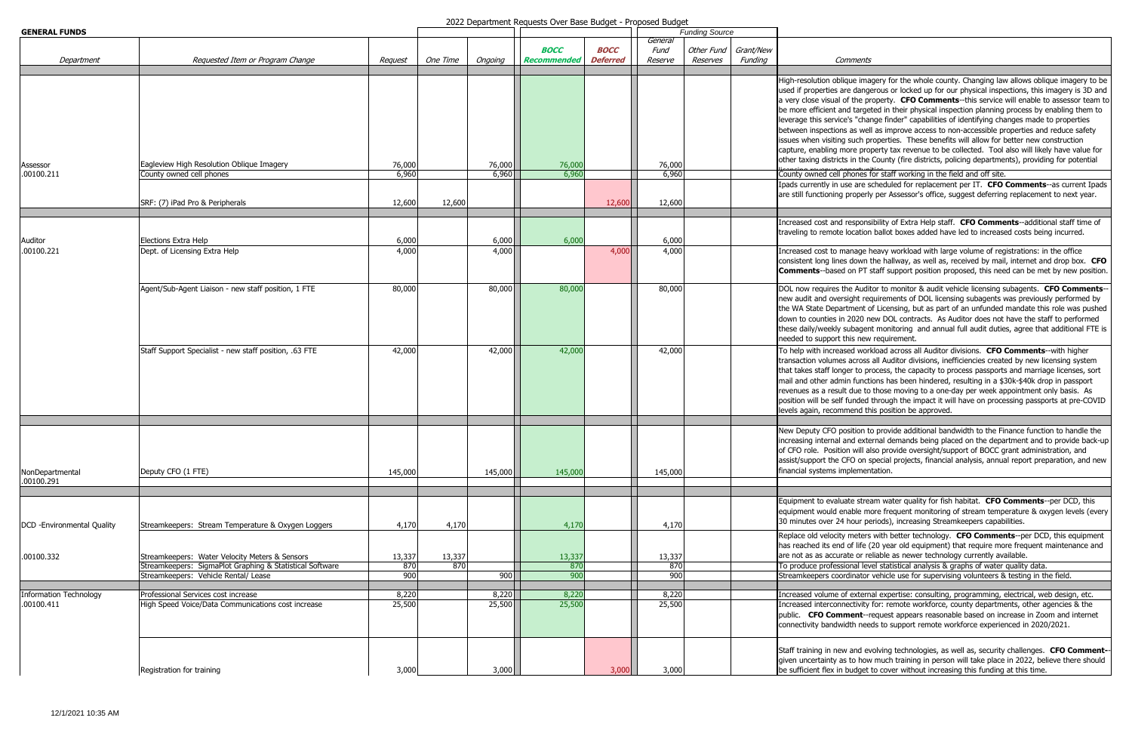| <b>GENERAL FUNDS</b>                        |                                                                                                  |                 |          |                 |                    |                 | <b>Funding Source</b> |            |           |                                                                                                                                                 |
|---------------------------------------------|--------------------------------------------------------------------------------------------------|-----------------|----------|-----------------|--------------------|-----------------|-----------------------|------------|-----------|-------------------------------------------------------------------------------------------------------------------------------------------------|
|                                             |                                                                                                  |                 |          |                 | <b>BOCC</b>        | <b>BOCC</b>     | General<br>Fund       | Other Fund | Grant/New |                                                                                                                                                 |
| Department                                  | Requested Item or Program Change                                                                 | Request         | One Time | Ongoing         | <b>Recommended</b> | <b>Deferred</b> | Reserve               | Reserves   | Funding   |                                                                                                                                                 |
|                                             |                                                                                                  |                 |          |                 |                    |                 |                       |            |           | High-resolution<br>used if propertie<br>a very close visu<br>be more efficien<br>leverage this ser<br>between inspect<br>issues when visit      |
|                                             |                                                                                                  |                 |          |                 |                    |                 |                       |            |           | capture, enablin<br>other taxing dist                                                                                                           |
| Assessor<br>.00100.211                      | Eagleview High Resolution Oblique Imagery<br>County owned cell phones                            | 76,000<br>6,960 |          | 76,000<br>6,960 | 76,000<br>6,960    |                 | 76,000<br>6,960       |            |           | County owned c                                                                                                                                  |
|                                             |                                                                                                  |                 |          |                 |                    |                 |                       |            |           | Ipads currently i                                                                                                                               |
|                                             | SRF: (7) iPad Pro & Peripherals                                                                  | 12,600          | 12,600   |                 |                    | 12,600          | 12,600                |            |           | are still function                                                                                                                              |
|                                             |                                                                                                  |                 |          |                 |                    |                 |                       |            |           | Increased cost a                                                                                                                                |
| Auditor                                     | Elections Extra Help                                                                             | 6,000           |          | 6,000           | 6,000              |                 | 6,000                 |            |           | traveling to rem                                                                                                                                |
| .00100.221                                  | Dept. of Licensing Extra Help                                                                    | 4,000           |          | 4,000           |                    | 4,000           | 4,000                 |            |           | Increased cost t<br>consistent long I<br>Comments--ba                                                                                           |
|                                             | Agent/Sub-Agent Liaison - new staff position, 1 FTE                                              | 80,000          |          | 80,000          | 80,000             |                 | 80,000                |            |           | DOL now require<br>new audit and o<br>the WA State De<br>down to countie<br>these daily/week<br>needed to suppo                                 |
|                                             | Staff Support Specialist - new staff position, .63 FTE                                           | 42,000          |          | 42,000          | 42,000             |                 | 42,000                |            |           | To help with inci<br>transaction volui<br>that takes staff I<br>mail and other a<br>revenues as a re<br>position will be s<br>levels again, rec |
| NonDepartmental<br>.00100.291               | Deputy CFO (1 FTE)                                                                               | 145,000         |          | 145,000         | 145,000            |                 | 145,000               |            |           | New Deputy CFO<br>increasing interr<br>of CFO role. Po:<br>assist/support th<br>financial system:                                               |
| DCD - Environmental Quality                 | Streamkeepers: Stream Temperature & Oxygen Loggers                                               | 4,170           | 4,170    |                 | 4,170              |                 | 4,170                 |            |           | Equipment to ev<br>equipment woul<br>30 minutes over                                                                                            |
| .00100.332                                  | Streamkeepers: Water Velocity Meters & Sensors                                                   | 13,337          | 13,337   |                 | 13,337             |                 | 13,337                |            |           | Replace old velo<br>has reached its<br>are not as as ac                                                                                         |
|                                             | Streamkeepers: SigmaPlot Graphing & Statistical Software<br>Streamkeepers: Vehicle Rental/ Lease | 870<br>900      | 870      | 900             | 870<br>900         |                 | 870<br>900            |            |           | To produce prof<br>Streamkeepers o                                                                                                              |
|                                             |                                                                                                  |                 |          |                 |                    |                 |                       |            |           |                                                                                                                                                 |
| <b>Information Technology</b><br>.00100.411 | Professional Services cost increase<br>High Speed Voice/Data Communications cost increase        | 8,220<br>25,500 |          | 8,220<br>25,500 | 8,220<br>25,500    |                 | 8,220<br>25,500       |            |           | <b>Increased volum</b><br>Increased interc<br>public. CFO Co<br>connectivity ban                                                                |
|                                             | Registration for training                                                                        | 3,000           |          | 3,000           |                    | 3,000           | 3,000                 |            |           | Staff training in<br>given uncertaint<br>be sufficient flex                                                                                     |

2022 Department Requests Over Base Budget - Proposed Budget

## Comments

oblique imagery for the whole county. Changing law allows oblique imagery to be es are dangerous or locked up for our physical inspections, this imagery is 3D and aal of the property. **CFO Comments**--this service will enable to assessor team to ht and targeted in their physical inspection planning process by enabling them to rvice's "change finder" capabilities of identifying changes made to properties tions as well as improve access to non-accessible properties and reduce safety iting such properties. These benefits will allow for better new construction ig more property tax revenue to be collected. Tool also will likely have value for tricts in the County (fire districts, policing departments), providing for potential

ell phones for staff working in the field and off site.

in use are scheduled for replacement per IT. CFO Comments--as current Ipads ing properly per Assessor's office, suggest deferring replacement to next year.

and responsibility of Extra Help staff. **CFO Comments**--additional staff time of ote location ballot boxes added have led to increased costs being incurred.

to manage heavy workload with large volume of registrations: in the office lines down the hallway, as well as, received by mail, internet and drop box. **CFO** Ised on PT staff support position proposed, this need can be met by new position.

es the Auditor to monitor & audit vehicle licensing subagents. **CFO Comments**-wersight requirements of DOL licensing subagents was previously performed by epartment of Licensing, but as part of an unfunded mandate this role was pushed es in 2020 new DOL contracts. As Auditor does not have the staff to performed kly subagent monitoring and annual full audit duties, agree that additional FTE is ort this new requirement.

reased workload across all Auditor divisions. **CFO Comments**--with higher mes across all Auditor divisions, inefficiencies created by new licensing system longer to process, the capacity to process passports and marriage licenses, sort admin functions has been hindered, resulting in a \$30k-\$40k drop in passport esult due to those moving to a one-day per week appointment only basis. As self funded through the impact it will have on processing passports at pre-COVID commend this position be approved.

O position to provide additional bandwidth to the Finance function to handle the hal and external demands being placed on the department and to provide back-up sition will also provide oversight/support of BOCC grant administration, and ne CFO on special projects, financial analysis, annual report preparation, and new is implementation.

raluate stream water quality for fish habitat. **CFO Comments**--per DCD, this d enable more frequent monitoring of stream temperature & oxygen levels (every <sup>2</sup> 24 hour periods), increasing Streamkeepers capabilities.

Replacity meters with better technology. **CFO Comments**--per DCD, this equipment end of life (20 year old equipment) that require more frequent maintenance and curate or reliable as newer technology currently available.

essional level statistical analysis & graphs of water quality data. coordinator vehicle use for supervising volunteers & testing in the field.

ne of external expertise: consulting, programming, electrical, web design, etc. onnectivity for: remote workforce, county departments, other agencies & the **omment**--request appears reasonable based on increase in Zoom and internet dwidth needs to support remote workforce experienced in 2020/2021.

new and evolving technologies, as well as, security challenges. **CFO Comment-**y as to how much training in person will take place in 2022, believe there should  $\kappa$  in budget to cover without increasing this funding at this time.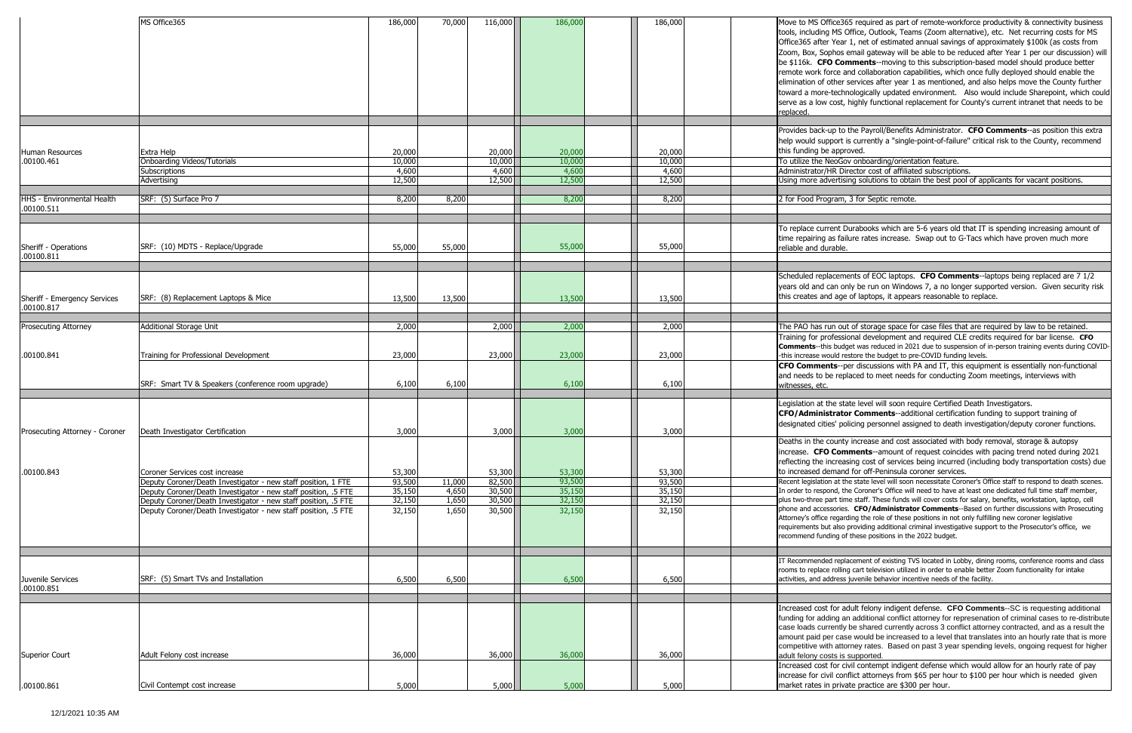|                                                 | MS Office365                                                                                                                     | 186,000                             | 70,000         | 116,000                             | 186,000                             | 186,000                             | Move to MS Office365 required as part o<br>tools, including MS Office, Outlook, Tean<br>Office365 after Year 1, net of estimated<br>Zoom, Box, Sophos email gateway will b<br>be \$116k. CFO Comments--moving to<br>remote work force and collaboration capa<br>elimination of other services after year 1<br>toward a more-technologically updated e<br>serve as a low cost, highly functional rep<br>replaced. |
|-------------------------------------------------|----------------------------------------------------------------------------------------------------------------------------------|-------------------------------------|----------------|-------------------------------------|-------------------------------------|-------------------------------------|------------------------------------------------------------------------------------------------------------------------------------------------------------------------------------------------------------------------------------------------------------------------------------------------------------------------------------------------------------------------------------------------------------------|
|                                                 |                                                                                                                                  |                                     |                |                                     |                                     |                                     | Provides back-up to the Payroll/Benefits                                                                                                                                                                                                                                                                                                                                                                         |
| Human Resources<br>.00100.461                   | Extra Help<br><b>Onboarding Videos/Tutorials</b><br>Subscriptions<br>Advertising                                                 | 20,000<br>10,000<br>4,600<br>12,500 |                | 20,000<br>10,000<br>4,600<br>12,500 | 20,000<br>10,000<br>4,600<br>12,500 | 20,000<br>10,000<br>4,600<br>12,500 | help would support is currently a "single-<br>this funding be approved.<br>To utilize the NeoGov onboarding/orienta<br>Administrator/HR Director cost of affiliate<br>Using more advertising solutions to obtai                                                                                                                                                                                                  |
| <b>HHS - Environmental Health</b><br>.00100.511 | SRF: (5) Surface Pro 7                                                                                                           | 8,200                               | 8,200          |                                     | 8,200                               | 8,200                               | 2 for Food Program, 3 for Septic remote.                                                                                                                                                                                                                                                                                                                                                                         |
| Sheriff - Operations<br>.00100.811              | SRF: (10) MDTS - Replace/Upgrade                                                                                                 | 55,000                              | 55,000         |                                     | 55,000                              | 55,000                              | To replace current Durabooks which are<br>time repairing as failure rates increase.<br>reliable and durable.                                                                                                                                                                                                                                                                                                     |
| Sheriff - Emergency Services<br>.00100.817      | SRF: (8) Replacement Laptops & Mice                                                                                              | 13,500                              | 13,500         |                                     | 13,500                              | 13,500                              | Scheduled replacements of EOC laptops.<br>years old and can only be run on Windov<br>this creates and age of laptops, it appear                                                                                                                                                                                                                                                                                  |
| <b>Prosecuting Attorney</b>                     | <b>Additional Storage Unit</b>                                                                                                   | 2,000                               |                | 2,000                               | 2,000                               | 2,000                               | The PAO has run out of storage space fo                                                                                                                                                                                                                                                                                                                                                                          |
| .00100.841                                      | Training for Professional Development                                                                                            | 23,000                              |                | 23,000                              | 23,000                              | 23,000                              | Training for professional development ar<br><b>Comments--this budget was reduced in 202</b><br>-this increase would restore the budget to pre                                                                                                                                                                                                                                                                    |
|                                                 | SRF: Smart TV & Speakers (conference room upgrade)                                                                               | 6,100                               | 6,100          |                                     | 6,100                               | 6,100                               | CFO Comments--per discussions with F<br>and needs to be replaced to meet needs<br>witnesses, etc.                                                                                                                                                                                                                                                                                                                |
|                                                 | Prosecuting Attorney - Coroner   Death Investigator Certification                                                                | 3,000                               |                | 3,000                               | 3,000                               | 3,000                               | Legislation at the state level will soon red<br>CFO/Administrator Comments--addi<br>designated cities' policing personnel assi                                                                                                                                                                                                                                                                                   |
| .00100.843                                      | Coroner Services cost increase                                                                                                   | 53,300                              |                | 53,300                              | 53,300                              | 53,300                              | Deaths in the county increase and cost a<br>increase. CFO Comments--amount of<br>reflecting the increasing cost of services<br>to increased demand for off-Peninsula co                                                                                                                                                                                                                                          |
|                                                 | Deputy Coroner/Death Investigator - new staff position, 1 FTE                                                                    | 93,500                              | 11,000         | 82,500                              | 93,500                              | 93,500                              | Recent legislation at the state level will soon                                                                                                                                                                                                                                                                                                                                                                  |
|                                                 | Deputy Coroner/Death Investigator - new staff position, .5 FTE<br>Deputy Coroner/Death Investigator - new staff position, .5 FTE | 35,150<br>32,150                    | 4,650<br>1,650 | 30,500<br>30,500                    | 35,150<br>32,150                    | 35,150<br>32,150                    | In order to respond, the Coroner's Office will<br>plus two-three part time staff. These funds w                                                                                                                                                                                                                                                                                                                  |
|                                                 | Deputy Coroner/Death Investigator - new staff position, .5 FTE                                                                   | 32,150                              | 1,650          | 30,500                              | 32,150                              | 32,150                              | phone and accessories. CFO/Administrato<br>Attorney's office regarding the role of these p<br>requirements but also providing additional cri<br>recommend funding of these positions in the                                                                                                                                                                                                                      |
|                                                 |                                                                                                                                  |                                     |                |                                     |                                     |                                     |                                                                                                                                                                                                                                                                                                                                                                                                                  |
| Juvenile Services<br>.00100.851                 | SRF: (5) Smart TVs and Installation                                                                                              | 6,500                               | 6,500          |                                     | 6,500                               | 6,500                               | IT Recommended replacement of existing TV<br>rooms to replace rolling cart television utilized<br>activities, and address juvenile behavior incer                                                                                                                                                                                                                                                                |
|                                                 |                                                                                                                                  |                                     |                |                                     |                                     |                                     |                                                                                                                                                                                                                                                                                                                                                                                                                  |
| <b>Superior Court</b>                           | Adult Felony cost increase                                                                                                       | 36,000                              |                | 36,000                              | 36,000                              | 36,000                              | Increased cost for adult felony indigent o<br>funding for adding an additional conflict a<br>case loads currently be shared currently<br>amount paid per case would be increase<br>competitive with attorney rates. Based o<br>adult felony costs is supported.                                                                                                                                                  |
|                                                 |                                                                                                                                  |                                     |                |                                     |                                     |                                     | Increased cost for civil contempt indigen<br>increase for civil conflict attorneys from :<br>market rates in private practice are \$300                                                                                                                                                                                                                                                                          |
| .00100.861                                      | Civil Contempt cost increase                                                                                                     | 5,000                               |                | 5,000                               | 5,000                               | 5,000                               |                                                                                                                                                                                                                                                                                                                                                                                                                  |

ice365 required as part of remote-workforce productivity & connectivity business MS Office, Outlook, Teams (Zoom alternative), etc. Net recurring costs for MS Year 1, net of estimated annual savings of approximately \$100k (as costs from ohos email gateway will be able to be reduced after Year 1 per our discussion) will **Comments--moving to this subscription-based model should produce better** rce and collaboration capabilities, which once fully deployed should enable the ther services after year 1 as mentioned, and also helps move the County further technologically updated environment. Also would include Sharepoint, which could cost, highly functional replacement for County's current intranet that needs to be

ap to the Payroll/Benefits Administrator. **CFO Comments**--as position this extra port is currently a "single-point-of-failure" critical risk to the County, recommend approved.

eoGov onboarding/orientation feature.

R Director cost of affiliated subscriptions.

ertising solutions to obtain the best pool of applicants for vacant positions.

ent Durabooks which are 5-6 years old that IT is spending increasing amount of as failure rates increase. Swap out to G-Tacs which have proven much more able.

cements of EOC laptops. **CFO Comments**--laptops being replaced are 7 1/2 can only be run on Windows 7, a no longer supported version. Given security risk age of laptops, it appears reasonable to replace.

n out of storage space for case files that are required by law to be retained. Fessional development and required CLE credits required for bar license. **CFO** budget was reduced in 2021 due to suspension of in-person training events during COVIDuld restore the budget to pre-COVID funding levels.

ts--per discussions with PA and IT, this equipment is essentially non-functional e replaced to meet needs for conducting Zoom meetings, interviews with

he state level will soon require Certified Death Investigators. **COMMINIST-19** Certification funding to support training of es' policing personnel assigned to death investigation/deputy coroner functions.

bunty increase and cost associated with body removal, storage & autopsy **Comments--amount of request coincides with pacing trend noted during 2021** ncreasing cost of services being incurred (including body transportation costs) due mand for off-Peninsula coroner services.

at the state level will soon necessitate Coroner's Office staff to respond to death scenes. Ind, the Coroner's Office will need to have at least one dedicated full time staff member, art time staff. These funds will cover costs for salary, benefits, workstation, laptop, cell sories. **CFO/Administrator Comments**--Based on further discussions with Prosecuting egarding the role of these positions in not only fulfilling new coroner legislative also providing additional criminal investigative support to the Prosecutor's office, we ing of these positions in the 2022 budget.

I replacement of existing TVS located in Lobby, dining rooms, conference rooms and class rolling cart television utilized in order to enable better Zoom functionality for intake dress juvenile behavior incentive needs of the facility.

for adult felony indigent defense. **CFO Comments--**SC is requesting additional ng an additional conflict attorney for represenation of criminal cases to re-distribute ently be shared currently across 3 conflict attorney contracted, and as a result the r case would be increased to a level that translates into an hourly rate that is more attorney rates. Based on past 3 year spending levels, ongoing request for higher ts is supported.

for civil contempt indigent defense which would allow for an hourly rate of pay i conflict attorneys from \$65 per hour to \$100 per hour which is needed given private practice are \$300 per hour.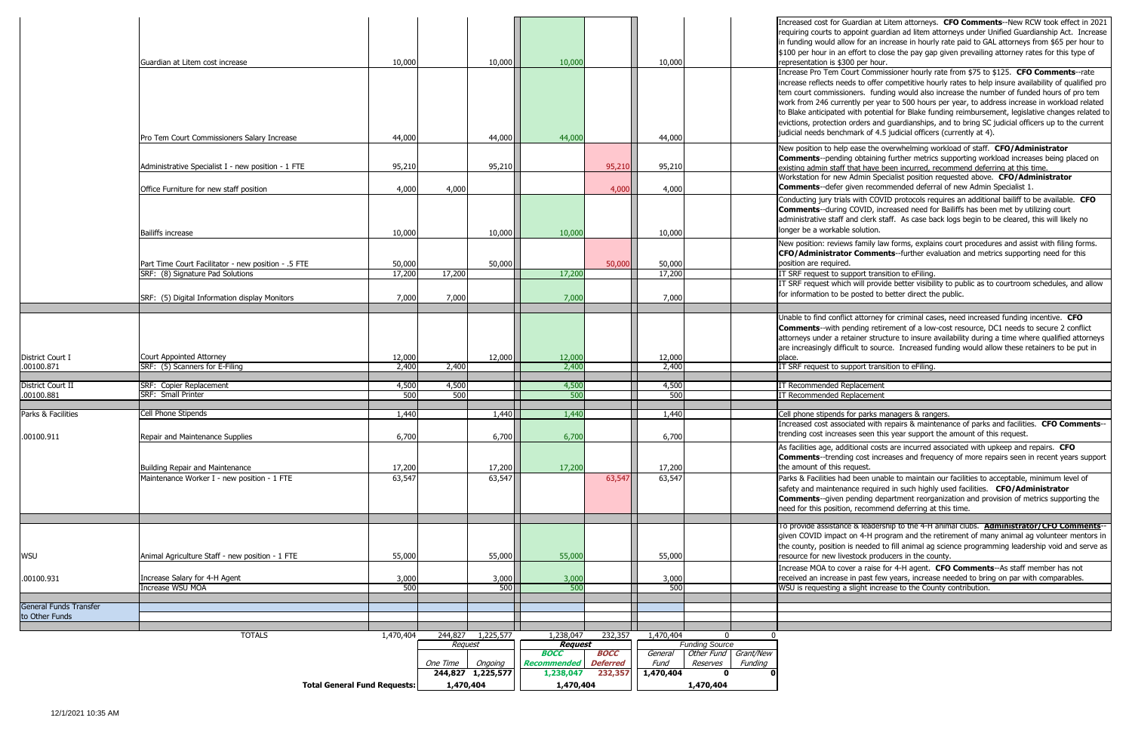As facilities age, additional costs are incurred associated with upkeep and repairs. **CFO**  rending cost increases and frequency of more repairs seen in recent years support this request.

es had been unable to maintain our facilities to acceptable, minimum level of ntenance required in such highly used facilities. **CFO/Administrator** iven pending department reorganization and provision of metrics supporting the osition, recommend deferring at this time.

stance & leadership to the 4-H animal clubs. **Administrator/CFO Comments**-npact on 4-H program and the retirement of many animal ag volunteer mentors in sition is needed to fill animal ag science programming leadership void and serve as w livestock producers in the county.

to cover a raise for 4-H agent. **CFO Comments**--As staff member has not rease in past few years, increase needed to bring on par with comparables. ting a slight increase to the County contribution.

|                                |                                                            | <b>Total General Fund Requests:</b> | 1,470,404 |                              | 1,470,404                       |                            |                   | 1,470,404                           |                                                                      |
|--------------------------------|------------------------------------------------------------|-------------------------------------|-----------|------------------------------|---------------------------------|----------------------------|-------------------|-------------------------------------|----------------------------------------------------------------------|
|                                |                                                            |                                     | One Time  | Ongoing<br>244,827 1,225,577 | <b>Recommended</b><br>1,238,047 | <b>Deferred</b><br>232,357 | Fund<br>1,470,404 | Reserves<br>Funding<br>$\mathbf{0}$ |                                                                      |
|                                |                                                            |                                     |           |                              | <b>BOCC</b>                     | <b>BOCC</b>                | General           | Other Fund Grant/New                |                                                                      |
|                                |                                                            |                                     | Request   |                              | <b>Request</b>                  |                            |                   | <b>Funding Source</b>               |                                                                      |
|                                | <b>TOTALS</b>                                              | 1,470,404                           |           | 244,827 1,225,577            | 1,238,047                       | 232,357                    | 1,470,404         | $\Omega$                            | $\mathbf{0}$                                                         |
| to Other Funds                 |                                                            |                                     |           |                              |                                 |                            |                   |                                     |                                                                      |
| General Funds Transfer         |                                                            |                                     |           |                              |                                 |                            |                   |                                     |                                                                      |
|                                |                                                            |                                     |           |                              |                                 |                            |                   |                                     |                                                                      |
| .00100.931                     | Increase Salary for 4-H Agent<br><b>Increase WSU MOA</b>   | 3,000<br>500                        |           | 3,000<br>500                 | 3,000<br>500                    |                            | 3,000<br>500      |                                     | received an increase in past fev<br>WSU is requesting a slight incre |
|                                |                                                            |                                     |           |                              |                                 |                            |                   |                                     | Increase MOA to cover a raise                                        |
| WSU                            | Animal Agriculture Staff - new position - 1 FTE            | 55,000                              |           | 55,000                       | 55,000                          |                            | 55,000            |                                     | resource for new livestock prod                                      |
|                                |                                                            |                                     |           |                              |                                 |                            |                   |                                     | given COVID impact on 4-H pro<br>the county, position is needed t    |
|                                |                                                            |                                     |           |                              |                                 |                            |                   |                                     | To provide assistance & leaders                                      |
|                                |                                                            |                                     |           |                              |                                 |                            |                   |                                     |                                                                      |
|                                |                                                            |                                     |           |                              |                                 |                            |                   |                                     | <b>Comments--given pending de</b><br>need for this position, recomme |
|                                |                                                            |                                     |           |                              |                                 |                            |                   |                                     | safety and maintenance require                                       |
|                                | Maintenance Worker I - new position - 1 FTE                | 63,547                              |           | 63,547                       |                                 | 63,547                     | 63,547            |                                     | Parks & Facilities had been una                                      |
|                                | Building Repair and Maintenance                            | 17,200                              |           | 17,200                       | 17,200                          |                            | 17,200            |                                     | <b>Comments--trending cost incr</b><br>the amount of this request.   |
|                                |                                                            |                                     |           |                              |                                 |                            |                   |                                     | As facilities age, additional cost                                   |
| .00100.911                     | Repair and Maintenance Supplies                            | 6,700                               |           | 6,700                        | 6,700                           |                            | 6,700             |                                     | trending cost increases seen th                                      |
|                                |                                                            |                                     |           |                              |                                 |                            |                   |                                     | Increased cost associated with                                       |
| Parks & Facilities             | <b>Cell Phone Stipends</b>                                 | 1,440                               |           | 1,440                        | 1,440                           |                            | 1,440             |                                     | Cell phone stipends for parks m                                      |
| .00100.881                     | SRF: Small Printer                                         | 500                                 | 500       |                              | 500                             |                            | 500               |                                     | IT Recommended Replacement                                           |
| District Court II              | SRF: Copier Replacement                                    | 4,500                               | 4,500     |                              | 4,500                           |                            | 4,500             |                                     | IT Recommended Replacement                                           |
|                                |                                                            |                                     |           |                              |                                 |                            |                   |                                     |                                                                      |
| District Court I<br>.00100.871 | Court Appointed Attorney<br>SRF: (5) Scanners for E-Filing | 12,000<br>2,400                     | 2,400     | 12,000                       | 12,000<br>2,400                 |                            | 12,000<br>2,400   |                                     | place.<br>IT SRF request to support trans                            |
|                                |                                                            |                                     |           |                              |                                 |                            |                   |                                     | are increasingly difficult to sour                                   |
|                                |                                                            |                                     |           |                              |                                 |                            |                   |                                     | attorneys under a retainer stru                                      |
|                                |                                                            |                                     |           |                              |                                 |                            |                   |                                     | <b>Comments--with pending retir</b>                                  |
|                                |                                                            |                                     |           |                              |                                 |                            |                   |                                     | Unable to find conflict attorney                                     |
|                                | SRF: (5) Digital Information display Monitors              | 7,000                               | 7,000     |                              | 7,000                           |                            | 7,000             |                                     | for information to be posted to                                      |
|                                |                                                            |                                     |           |                              |                                 |                            |                   |                                     | IT SRF request which will provi                                      |
|                                | SRF: (8) Signature Pad Solutions                           | 17,200                              | 17,200    |                              | 17,200                          |                            | 17,200            |                                     | IT SRF request to support trans                                      |
|                                | Part Time Court Facilitator - new position - .5 FTE        | 50,000                              |           | 50,000                       |                                 | 50,000                     | 50,000            |                                     | position are required.                                               |
|                                |                                                            |                                     |           |                              |                                 |                            |                   |                                     | New position: reviews family la<br><b>CFO/Administrator Comme</b>    |
|                                | <b>Bailiffs increase</b>                                   | 10,000                              |           | 10,000                       | 10,000                          |                            | 10,000            |                                     | longer be a workable solution.                                       |
|                                |                                                            |                                     |           |                              |                                 |                            |                   |                                     | administrative staff and clerk st                                    |
|                                |                                                            |                                     |           |                              |                                 |                            |                   |                                     | <b>Comments--during COVID, in</b>                                    |
|                                |                                                            |                                     |           |                              |                                 |                            |                   |                                     | Conducting jury trials with COV                                      |
|                                | Office Furniture for new staff position                    | 4,000                               | 4,000     |                              |                                 | 4,000                      | 4,000             |                                     | Comments--defer given recon                                          |
|                                | Administrative Specialist I - new position - 1 FTE         | 95,210                              |           | 95,210                       |                                 | 95,210                     | 95,210            |                                     | existing admin staff that have b<br>Workstation for new Admin Spe    |
|                                |                                                            |                                     |           |                              |                                 |                            |                   |                                     | <b>Comments--pending obtaining</b>                                   |
|                                |                                                            |                                     |           |                              |                                 |                            |                   |                                     | New position to help ease the o                                      |
|                                | Pro Tem Court Commissioners Salary Increase                | 44,000                              |           | 44,000                       | 44,000                          |                            | 44,000            |                                     | judicial needs benchmark of 4.                                       |
|                                |                                                            |                                     |           |                              |                                 |                            |                   |                                     | evictions, protection orders and                                     |
|                                |                                                            |                                     |           |                              |                                 |                            |                   |                                     | to Blake anticipated with poten                                      |
|                                |                                                            |                                     |           |                              |                                 |                            |                   |                                     | tem court commissioners. fund<br>work from 246 currently per ye      |
|                                |                                                            |                                     |           |                              |                                 |                            |                   |                                     | increase reflects needs to offer                                     |
|                                |                                                            |                                     |           |                              |                                 |                            |                   |                                     | Increase Pro Tem Court Comm                                          |
|                                | Guardian at Litem cost increase                            | 10,000                              |           | 10,000                       | 10,000                          |                            | 10,000            |                                     | representation is \$300 per hou                                      |
|                                |                                                            |                                     |           |                              |                                 |                            |                   |                                     | \$100 per hour in an effort to cl                                    |
|                                |                                                            |                                     |           |                              |                                 |                            |                   |                                     | requiring courts to appoint gua<br>in funding would allow for an ir  |
|                                |                                                            |                                     |           |                              |                                 |                            |                   |                                     | Increased cost for Guardian at                                       |
|                                |                                                            |                                     |           |                              |                                 |                            |                   |                                     |                                                                      |

for Guardian at Litem attorneys. **CFO Comments--**New RCW took effect in 2021 s to appoint guardian ad litem attorneys under Unified Guardianship Act. Increase Id allow for an increase in hourly rate paid to GAL attorneys from \$65 per hour to in an effort to close the pay gap given prevailing attorney rates for this type of is \$300 per hour.

em Court Commissioner hourly rate from \$75 to \$125. CFO Comments--rate is needs to offer competitive hourly rates to help insure availability of qualified pro missioners. funding would also increase the number of funded hours of pro tem currently per year to 500 hours per year, to address increase in workload related hated with potential for Blake funding reimbursement, legislative changes related to ection orders and guardianships, and to bring SC judicial officers up to the current benchmark of 4.5 judicial officers (currently at 4).

Inelp ease the overwhelming workload of staff. **CFO/Administrator** ending obtaining further metrics supporting workload increases being placed on staff that have been incurred, recommend deferring at this time. Inew Admin Specialist position requested above. CFO/Administrator lefer given recommended deferral of new Admin Specialist 1.

y trials with COVID protocols requires an additional bailiff to be available. **CFO** luring COVID, increased need for Bailiffs has been met by utilizing court staff and clerk staff. As case back logs begin to be cleared, this will likely no rkable solution.

reviews family law forms, explains court procedures and assist with filing forms. **trator Comments**--further evaluation and metrics supporting need for this quired.

to support transition to eFiling.

which will provide better visibility to public as to courtroom schedules, and allow to be posted to better direct the public.

conflict attorney for criminal cases, need increased funding incentive. **CFO** vith pending retirement of a low-cost resource, DC1 needs to secure 2 conflict r a retainer structure to insure availability during a time where qualified attorneys y difficult to source. Increased funding would allow these retainers to be put in

to support transition to eFiling.

ends for parks managers & rangers.

associated with repairs & maintenance of parks and facilities. **CFO Comments**-treases seen this year support the amount of this request.